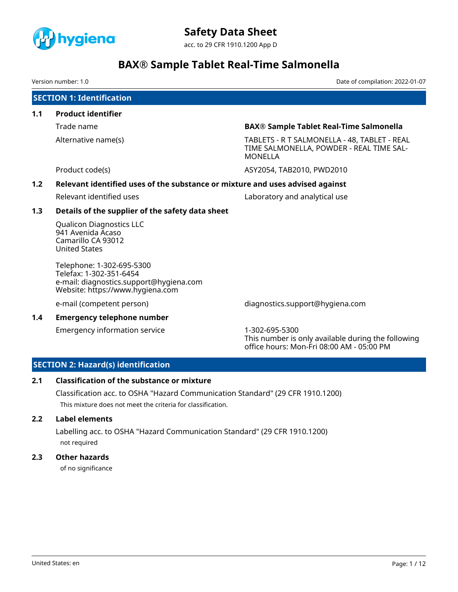

acc. to 29 CFR 1910.1200 App D

# **BAX® Sample Tablet Real-Time Salmonella**

Version number: 1.0 Date of compilation: 2022-01-07

# **SECTION 1: Identification**

**1.1 Product identifier**

Trade name **BAX® Sample Tablet Real-Time Salmonella**

Alternative name(s) TABLETS - R T SALMONELLA - 48, TABLET - REAL TIME SALMONELLA, POWDER - REAL TIME SAL-MONELLA

Product code(s) The Code of the Code of the ASY2054, TAB2010, PWD2010

## **1.2 Relevant identified uses of the substance or mixture and uses advised against**

Relevant identified uses Laboratory and analytical use

## **1.3 Details of the supplier of the safety data sheet**

Qualicon Diagnostics LLC 941 Avenida Acaso Camarillo CA 93012 United States

Telephone: 1-302-695-5300 Telefax: 1-302-351-6454 e-mail: diagnostics.support@hygiena.com Website: https://www.hygiena.com

### **1.4 Emergency telephone number**

Emergency information service 1-302-695-5300

e-mail (competent person) diagnostics.support@hygiena.com

This number is only available during the following office hours: Mon-Fri 08:00 AM - 05:00 PM

## **SECTION 2: Hazard(s) identification**

## **2.1 Classification of the substance or mixture**

Classification acc. to OSHA "Hazard Communication Standard" (29 CFR 1910.1200) This mixture does not meet the criteria for classification.

## **2.2 Label elements**

Labelling acc. to OSHA "Hazard Communication Standard" (29 CFR 1910.1200) not required

## **2.3 Other hazards**

of no significance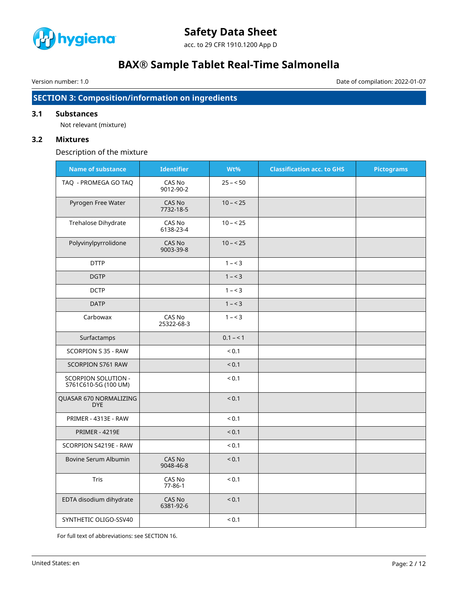

acc. to 29 CFR 1910.1200 App D

# **BAX® Sample Tablet Real-Time Salmonella**

Version number: 1.0 Date of compilation: 2022-01-07

## **SECTION 3: Composition/information on ingredients**

## **3.1 Substances**

Not relevant (mixture)

## **3.2 Mixtures**

Description of the mixture

| <b>Name of substance</b>                    | <b>Identifier</b>       | Wt%        | <b>Classification acc. to GHS</b> | <b>Pictograms</b> |
|---------------------------------------------|-------------------------|------------|-----------------------------------|-------------------|
| TAQ - PROMEGA GO TAQ                        | CAS No<br>9012-90-2     | $25 - 50$  |                                   |                   |
| Pyrogen Free Water                          | CAS No<br>7732-18-5     | $10 - 25$  |                                   |                   |
| Trehalose Dihydrate                         | CAS No<br>6138-23-4     | $10 - 25$  |                                   |                   |
| Polyvinylpyrrolidone                        | CAS No<br>9003-39-8     | $10 - 25$  |                                   |                   |
| <b>DTTP</b>                                 |                         | $1 - 3$    |                                   |                   |
| <b>DGTP</b>                                 |                         | $1 - 3$    |                                   |                   |
| <b>DCTP</b>                                 |                         | $1 - 3$    |                                   |                   |
| <b>DATP</b>                                 |                         | $1 - 3$    |                                   |                   |
| Carbowax                                    | CAS No<br>25322-68-3    | $1 - 3$    |                                   |                   |
| Surfactamps                                 |                         | $0.1 - 1$  |                                   |                   |
| SCORPION S 35 - RAW                         |                         | < 0.1      |                                   |                   |
| SCORPION S761 RAW                           |                         | < 0.1      |                                   |                   |
| SCORPION SOLUTION -<br>S761C610-5G (100 UM) |                         | < 0.1      |                                   |                   |
| QUASAR 670 NORMALIZING<br><b>DYE</b>        |                         | < 0.1      |                                   |                   |
| PRIMER - 4313E - RAW                        |                         | < 0.1      |                                   |                   |
| <b>PRIMER - 4219E</b>                       |                         | ${}_{0.1}$ |                                   |                   |
| SCORPION S4219E - RAW                       |                         | ${}_{0.1}$ |                                   |                   |
| Bovine Serum Albumin                        | CAS No<br>9048-46-8     | < 0.1      |                                   |                   |
| Tris                                        | CAS No<br>$77 - 86 - 1$ | ${}_{0.1}$ |                                   |                   |
| EDTA disodium dihydrate                     | CAS No<br>6381-92-6     | < 0.1      |                                   |                   |
| SYNTHETIC OLIGO-SSV40                       |                         | < 0.1      |                                   |                   |

For full text of abbreviations: see SECTION 16.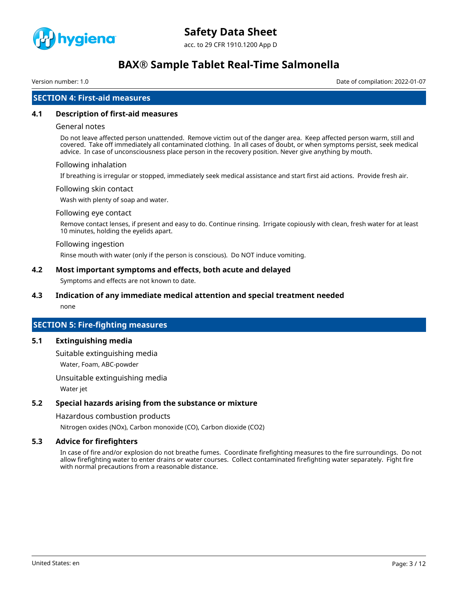

acc. to 29 CFR 1910.1200 App D

# **BAX® Sample Tablet Real-Time Salmonella**

Version number: 1.0 Date of compilation: 2022-01-07

## **SECTION 4: First-aid measures**

#### **4.1 Description of first-aid measures**

#### General notes

Do not leave affected person unattended. Remove victim out of the danger area. Keep affected person warm, still and covered. Take off immediately all contaminated clothing. In all cases of doubt, or when symptoms persist, seek medical advice. In case of unconsciousness place person in the recovery position. Never give anything by mouth.

#### Following inhalation

If breathing is irregular or stopped, immediately seek medical assistance and start first aid actions. Provide fresh air.

#### Following skin contact

Wash with plenty of soap and water.

#### Following eye contact

Remove contact lenses, if present and easy to do. Continue rinsing. Irrigate copiously with clean, fresh water for at least 10 minutes, holding the eyelids apart.

#### Following ingestion

Rinse mouth with water (only if the person is conscious). Do NOT induce vomiting.

#### **4.2 Most important symptoms and effects, both acute and delayed**

Symptoms and effects are not known to date.

## **4.3 Indication of any immediate medical attention and special treatment needed**

none

### **SECTION 5: Fire-fighting measures**

#### **5.1 Extinguishing media**

Suitable extinguishing media Water, Foam, ABC-powder

Unsuitable extinguishing media

Water jet

### **5.2 Special hazards arising from the substance or mixture**

Hazardous combustion products

Nitrogen oxides (NOx), Carbon monoxide (CO), Carbon dioxide (CO2)

### **5.3 Advice for firefighters**

In case of fire and/or explosion do not breathe fumes. Coordinate firefighting measures to the fire surroundings. Do not allow firefighting water to enter drains or water courses. Collect contaminated firefighting water separately. Fight fire with normal precautions from a reasonable distance.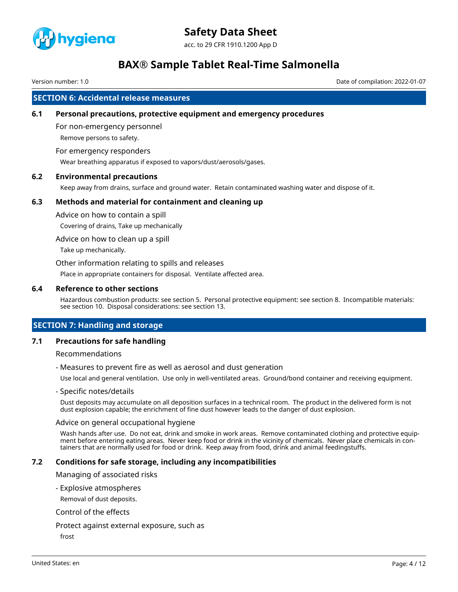

acc. to 29 CFR 1910.1200 App D

# **BAX® Sample Tablet Real-Time Salmonella**

Version number: 1.0 Date of compilation: 2022-01-07

## **SECTION 6: Accidental release measures**

#### **6.1 Personal precautions, protective equipment and emergency procedures**

For non-emergency personnel Remove persons to safety.

#### For emergency responders

Wear breathing apparatus if exposed to vapors/dust/aerosols/gases.

## **6.2 Environmental precautions**

Keep away from drains, surface and ground water. Retain contaminated washing water and dispose of it.

#### **6.3 Methods and material for containment and cleaning up**

Advice on how to contain a spill

Covering of drains, Take up mechanically

Advice on how to clean up a spill

Take up mechanically.

Other information relating to spills and releases

Place in appropriate containers for disposal. Ventilate affected area.

#### **6.4 Reference to other sections**

Hazardous combustion products: see section 5. Personal protective equipment: see section 8. Incompatible materials: see section 10. Disposal considerations: see section 13.

## **SECTION 7: Handling and storage**

#### **7.1 Precautions for safe handling**

Recommendations

- Measures to prevent fire as well as aerosol and dust generation

Use local and general ventilation. Use only in well-ventilated areas. Ground/bond container and receiving equipment.

#### - Specific notes/details

Dust deposits may accumulate on all deposition surfaces in a technical room. The product in the delivered form is not dust explosion capable; the enrichment of fine dust however leads to the danger of dust explosion.

#### Advice on general occupational hygiene

Wash hands after use. Do not eat, drink and smoke in work areas. Remove contaminated clothing and protective equipment before entering eating areas. Never keep food or drink in the vicinity of chemicals. Never place chemicals in containers that are normally used for food or drink. Keep away from food, drink and animal feedingstuffs.

#### **7.2 Conditions for safe storage, including any incompatibilities**

Managing of associated risks

- Explosive atmospheres

Removal of dust deposits.

#### Control of the effects

#### Protect against external exposure, such as

frost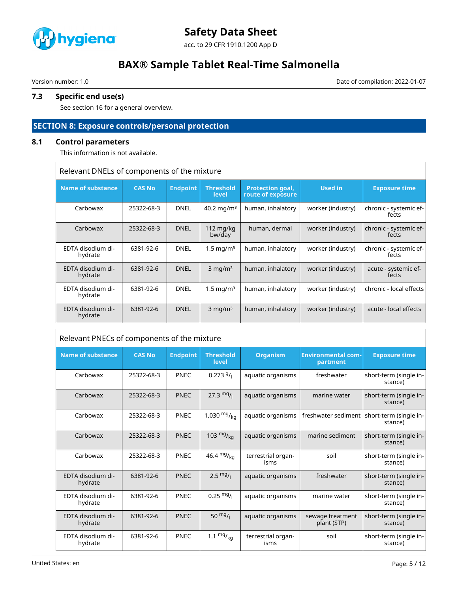

acc. to 29 CFR 1910.1200 App D

# **BAX® Sample Tablet Real-Time Salmonella**

Version number: 1.0 Date of compilation: 2022-01-07

# **7.3 Specific end use(s)**

See section 16 for a general overview.

# **SECTION 8: Exposure controls/personal protection**

## **8.1 Control parameters**

This information is not available.

| Relevant DNELs of components of the mixture |
|---------------------------------------------|
|                                             |

| <b>Name of substance</b>     | <b>CAS No</b> | <b>Endpoint</b> | <b>Threshold</b><br>level | <b>Protection goal,</b><br>route of exposure | Used in           | <b>Exposure time</b>            |
|------------------------------|---------------|-----------------|---------------------------|----------------------------------------------|-------------------|---------------------------------|
| Carbowax                     | 25322-68-3    | <b>DNEL</b>     | 40.2 mg/m <sup>3</sup>    | human, inhalatory                            | worker (industry) | chronic - systemic ef-<br>fects |
| Carbowax                     | 25322-68-3    | <b>DNEL</b>     | $112$ mg/kg<br>bw/day     | human, dermal                                | worker (industry) | chronic - systemic ef-<br>fects |
| EDTA disodium di-<br>hydrate | 6381-92-6     | <b>DNEL</b>     | $1.5 \,\mathrm{mg/m^3}$   | human, inhalatory                            | worker (industry) | chronic - systemic ef-<br>fects |
| EDTA disodium di-<br>hydrate | 6381-92-6     | <b>DNEL</b>     | $3 \text{ mg/m}^3$        | human, inhalatory                            | worker (industry) | acute - systemic ef-<br>fects   |
| EDTA disodium di-<br>hydrate | 6381-92-6     | <b>DNEL</b>     | $1.5 \,\mathrm{mg/m^3}$   | human, inhalatory                            | worker (industry) | chronic - local effects         |
| EDTA disodium di-<br>hydrate | 6381-92-6     | <b>DNEL</b>     | $3$ mg/m <sup>3</sup>     | human, inhalatory                            | worker (industry) | acute - local effects           |

| Relevant PNECs of components of the mixture |               |                 |                           |                            |                                       |                                                         |
|---------------------------------------------|---------------|-----------------|---------------------------|----------------------------|---------------------------------------|---------------------------------------------------------|
| <b>Name of substance</b>                    | <b>CAS No</b> | <b>Endpoint</b> | <b>Threshold</b><br>level | <b>Organism</b>            | <b>Environmental com-</b><br>partment | <b>Exposure time</b>                                    |
| Carbowax                                    | 25322-68-3    | <b>PNEC</b>     | $0.2739/_1$               | aquatic organisms          | freshwater                            | short-term (single in-<br>stance)                       |
| Carbowax                                    | 25322-68-3    | <b>PNEC</b>     | 27.3 $mg/1$               | aquatic organisms          | marine water                          | short-term (single in-<br>stance)                       |
| Carbowax                                    | 25322-68-3    | <b>PNEC</b>     | 1,030 $mg/_{ka}$          | aquatic organisms          |                                       | freshwater sediment   short-term (single in-<br>stance) |
| Carbowax                                    | 25322-68-3    | <b>PNEC</b>     | 103 $mg/_{ka}$            | aquatic organisms          | marine sediment                       | short-term (single in-<br>stance)                       |
| Carbowax                                    | 25322-68-3    | <b>PNEC</b>     | 46.4 $mg/kq$              | terrestrial organ-<br>isms | soil                                  | short-term (single in-<br>stance)                       |
| EDTA disodium di-<br>hydrate                | 6381-92-6     | <b>PNEC</b>     | $2.5 \frac{mg}{l}$        | aquatic organisms          | freshwater                            | short-term (single in-<br>stance)                       |
| EDTA disodium di-<br>hydrate                | 6381-92-6     | PNEC            | $0.25 \frac{mg}{l}$       | aquatic organisms          | marine water                          | short-term (single in-<br>stance)                       |
| EDTA disodium di-<br>hydrate                | 6381-92-6     | <b>PNEC</b>     | 50 $mg/1$                 | aquatic organisms          | sewage treatment<br>plant (STP)       | short-term (single in-<br>stance)                       |
| EDTA disodium di-<br>hydrate                | 6381-92-6     | <b>PNEC</b>     | 1.1 $mg/_{kq}$            | terrestrial organ-<br>isms | soil                                  | short-term (single in-<br>stance)                       |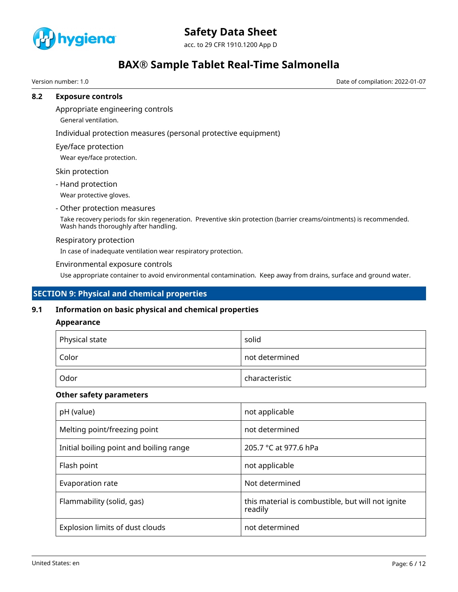

acc. to 29 CFR 1910.1200 App D

# **BAX® Sample Tablet Real-Time Salmonella**

Version number: 1.0 Date of compilation: 2022-01-07

### **8.2 Exposure controls**

Appropriate engineering controls

General ventilation.

Individual protection measures (personal protective equipment)

Eye/face protection

Wear eye/face protection.

Skin protection

- Hand protection

Wear protective gloves.

#### - Other protection measures

Take recovery periods for skin regeneration. Preventive skin protection (barrier creams/ointments) is recommended. Wash hands thoroughly after handling.

#### Respiratory protection

In case of inadequate ventilation wear respiratory protection.

#### Environmental exposure controls

Use appropriate container to avoid environmental contamination. Keep away from drains, surface and ground water.

## **SECTION 9: Physical and chemical properties**

### **9.1 Information on basic physical and chemical properties**

### **Appearance**

| $\mathop{^+}$ Physical state | solid          |
|------------------------------|----------------|
| Color                        | not determined |
| Odor                         | characteristic |

### **Other safety parameters**

| pH (value)                              | not applicable                                               |
|-----------------------------------------|--------------------------------------------------------------|
| Melting point/freezing point            | not determined                                               |
| Initial boiling point and boiling range | 205.7 °C at 977.6 hPa                                        |
| Flash point                             | not applicable                                               |
| Evaporation rate                        | Not determined                                               |
| Flammability (solid, gas)               | this material is combustible, but will not ignite<br>readily |
| Explosion limits of dust clouds         | not determined                                               |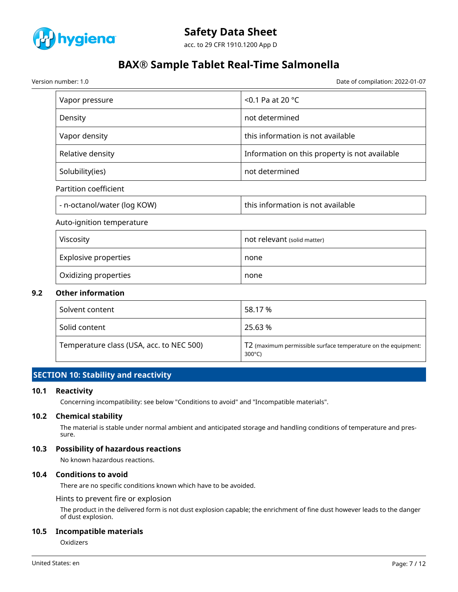

acc. to 29 CFR 1910.1200 App D

# **BAX® Sample Tablet Real-Time Salmonella**

Version number: 1.0 Date of compilation: 2022-01-07

| Vapor pressure              | $<$ 0.1 Pa at 20 °C                           |
|-----------------------------|-----------------------------------------------|
| Density                     | not determined                                |
| Vapor density               | this information is not available             |
| Relative density            | Information on this property is not available |
| Solubility(ies)             | not determined                                |
| Partition coefficient       |                                               |
| - n-octanol/water (log KOW) | this information is not available             |

Auto-ignition temperature

| Viscosity                   | not relevant (solid matter) |
|-----------------------------|-----------------------------|
| <b>Explosive properties</b> | none                        |
| Oxidizing properties        | none                        |

### **9.2 Other information**

| Solvent content                          | 58.17 %                                                                           |
|------------------------------------------|-----------------------------------------------------------------------------------|
| Solid content                            | 25.63 %                                                                           |
| Temperature class (USA, acc. to NEC 500) | T2 (maximum permissible surface temperature on the equipment:<br>$300^{\circ}$ C) |

## **SECTION 10: Stability and reactivity**

### **10.1 Reactivity**

Concerning incompatibility: see below "Conditions to avoid" and "Incompatible materials".

#### **10.2 Chemical stability**

The material is stable under normal ambient and anticipated storage and handling conditions of temperature and pressure.

### **10.3 Possibility of hazardous reactions**

No known hazardous reactions.

## **10.4 Conditions to avoid**

There are no specific conditions known which have to be avoided.

Hints to prevent fire or explosion

The product in the delivered form is not dust explosion capable; the enrichment of fine dust however leads to the danger of dust explosion.

#### **10.5 Incompatible materials**

Oxidizers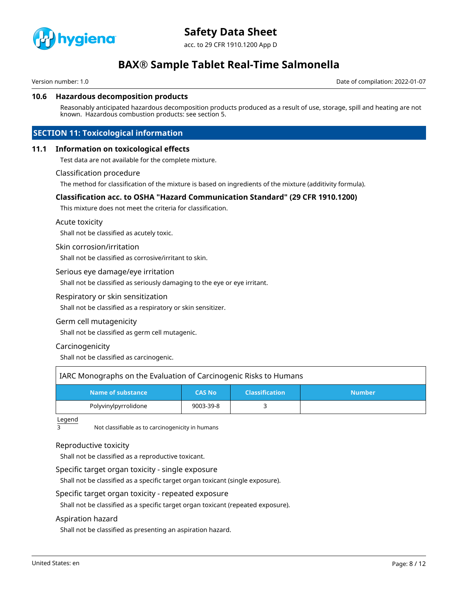

acc. to 29 CFR 1910.1200 App D

# **BAX® Sample Tablet Real-Time Salmonella**

Version number: 1.0 Date of compilation: 2022-01-07

#### **10.6 Hazardous decomposition products**

Reasonably anticipated hazardous decomposition products produced as a result of use, storage, spill and heating are not known. Hazardous combustion products: see section 5.

## **SECTION 11: Toxicological information**

#### **11.1 Information on toxicological effects**

Test data are not available for the complete mixture.

#### Classification procedure

The method for classification of the mixture is based on ingredients of the mixture (additivity formula).

### **Classification acc. to OSHA "Hazard Communication Standard" (29 CFR 1910.1200)**

This mixture does not meet the criteria for classification.

#### Acute toxicity

Shall not be classified as acutely toxic.

#### Skin corrosion/irritation

Shall not be classified as corrosive/irritant to skin.

#### Serious eye damage/eye irritation

Shall not be classified as seriously damaging to the eye or eye irritant.

#### Respiratory or skin sensitization

Shall not be classified as a respiratory or skin sensitizer.

#### Germ cell mutagenicity

Shall not be classified as germ cell mutagenic.

#### Carcinogenicity

Shall not be classified as carcinogenic.

| IARC Monographs on the Evaluation of Carcinogenic Risks to Humans |               |                       |               |  |
|-------------------------------------------------------------------|---------------|-----------------------|---------------|--|
| Name of substance                                                 | <b>CAS No</b> | <b>Classification</b> | <b>Number</b> |  |
| Polyvinylpyrrolidone                                              | 9003-39-8     |                       |               |  |

Legend

3 Not classifiable as to carcinogenicity in humans

#### Reproductive toxicity

Shall not be classified as a reproductive toxicant.

#### Specific target organ toxicity - single exposure

Shall not be classified as a specific target organ toxicant (single exposure).

#### Specific target organ toxicity - repeated exposure

Shall not be classified as a specific target organ toxicant (repeated exposure).

#### Aspiration hazard

Shall not be classified as presenting an aspiration hazard.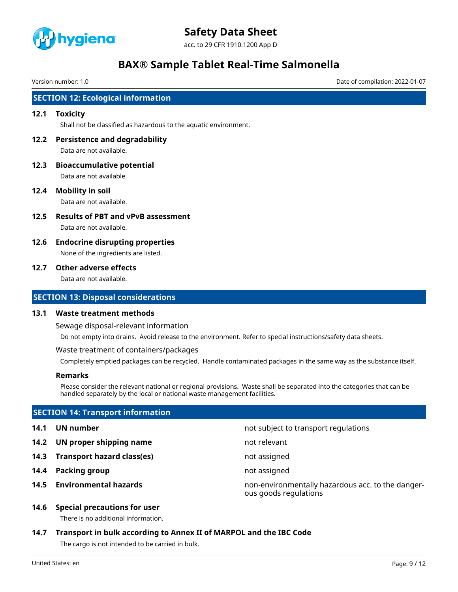

acc. to 29 CFR 1910.1200 App D

# **BAX® Sample Tablet Real-Time Salmonella**

Version number: 1.0 Date of compilation: 2022-01-07

## **SECTION 12: Ecological information**

#### **12.1 Toxicity**

Shall not be classified as hazardous to the aquatic environment.

- **12.2 Persistence and degradability** Data are not available.
- **12.3 Bioaccumulative potential** Data are not available.
- **12.4 Mobility in soil**

Data are not available.

- **12.5 Results of PBT and vPvB assessment** Data are not available.
- **12.6 Endocrine disrupting properties** None of the ingredients are listed.

#### **12.7 Other adverse effects**

Data are not available.

### **SECTION 13: Disposal considerations**

#### **13.1 Waste treatment methods**

Sewage disposal-relevant information

Do not empty into drains. Avoid release to the environment. Refer to special instructions/safety data sheets.

Waste treatment of containers/packages

Completely emptied packages can be recycled. Handle contaminated packages in the same way as the substance itself.

### **Remarks**

Please consider the relevant national or regional provisions. Waste shall be separated into the categories that can be handled separately by the local or national waste management facilities.

## **SECTION 14: Transport information**

- **14.1 UN number 14.1 UN** number
- **14.2 UN proper shipping name** not relevant
- **14.3 Transport hazard class(es)** not assigned
- **14.4 Packing group not assigned**
- 
- 
- 
- 
- **14.5 Environmental hazards** non-environmentally hazardous acc. to the dangerous goods regulations
- **14.6 Special precautions for user**

There is no additional information.

**14.7 Transport in bulk according to Annex II of MARPOL and the IBC Code** The cargo is not intended to be carried in bulk.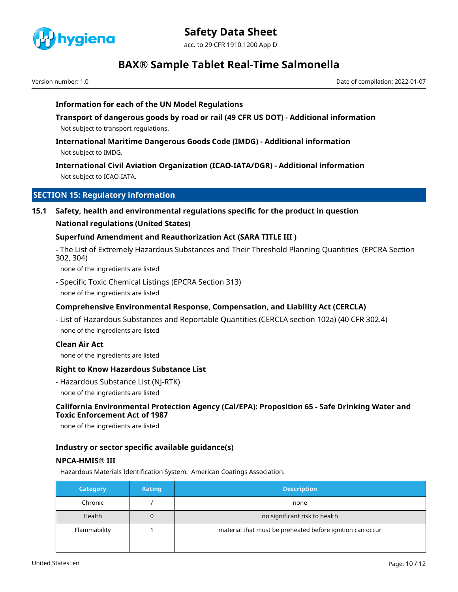

acc. to 29 CFR 1910.1200 App D

# **BAX® Sample Tablet Real-Time Salmonella**

Version number: 1.0 Date of compilation: 2022-01-07

## **Information for each of the UN Model Regulations**

**Transport of dangerous goods by road or rail (49 CFR US DOT) - Additional information** Not subject to transport regulations.

**International Maritime Dangerous Goods Code (IMDG) - Additional information** Not subject to IMDG.

## **International Civil Aviation Organization (ICAO-IATA/DGR) - Additional information** Not subject to ICAO-IATA.

## **SECTION 15: Regulatory information**

## **15.1 Safety, health and environmental regulations specific for the product in question**

## **National regulations (United States)**

## **Superfund Amendment and Reauthorization Act (SARA TITLE III )**

- The List of Extremely Hazardous Substances and Their Threshold Planning Quantities (EPCRA Section 302, 304)

none of the ingredients are listed

- Specific Toxic Chemical Listings (EPCRA Section 313) none of the ingredients are listed

## **Comprehensive Environmental Response, Compensation, and Liability Act (CERCLA)**

- List of Hazardous Substances and Reportable Quantities (CERCLA section 102a) (40 CFR 302.4) none of the ingredients are listed

### **Clean Air Act**

none of the ingredients are listed

### **Right to Know Hazardous Substance List**

- Hazardous Substance List (NJ-RTK)
- none of the ingredients are listed

## **California Environmental Protection Agency (Cal/EPA): Proposition 65 - Safe Drinking Water and Toxic Enforcement Act of 1987**

none of the ingredients are listed

## **Industry or sector specific available guidance(s)**

## **NPCA-HMIS® III**

Hazardous Materials Identification System. American Coatings Association.

| Category     | <b>Rating</b> | <b>Description</b>                                        |
|--------------|---------------|-----------------------------------------------------------|
| Chronic      |               | none                                                      |
| Health       |               | no significant risk to health                             |
| Flammability |               | material that must be preheated before ignition can occur |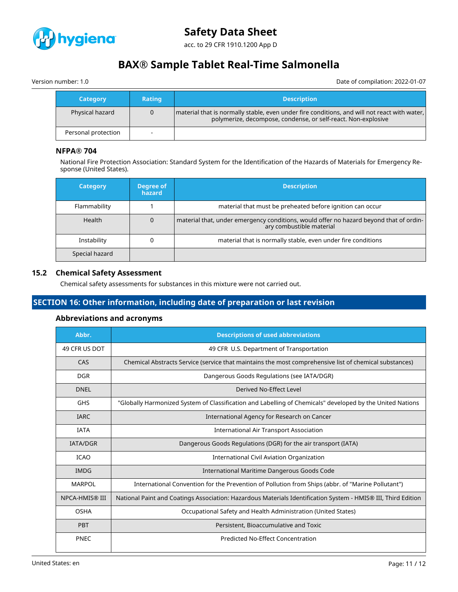

acc. to 29 CFR 1910.1200 App D

# **BAX® Sample Tablet Real-Time Salmonella**

Version number: 1.0 Date of compilation: 2022-01-07

| <b>Category</b>     | Rating | <b>Description</b>                                                                                                                                            |
|---------------------|--------|---------------------------------------------------------------------------------------------------------------------------------------------------------------|
| Physical hazard     |        | material that is normally stable, even under fire conditions, and will not react with water,<br>polymerize, decompose, condense, or self-react. Non-explosive |
| Personal protection | $\sim$ |                                                                                                                                                               |

## **NFPA® 704**

National Fire Protection Association: Standard System for the Identification of the Hazards of Materials for Emergency Response (United States).

| <b>Category</b> | Degree of<br>hazard | <b>Description</b>                                                                                                 |
|-----------------|---------------------|--------------------------------------------------------------------------------------------------------------------|
| Flammability    |                     | material that must be preheated before ignition can occur                                                          |
| <b>Health</b>   |                     | material that, under emergency conditions, would offer no hazard beyond that of ordin-<br>ary combustible material |
| Instability     |                     | material that is normally stable, even under fire conditions                                                       |
| Special hazard  |                     |                                                                                                                    |

### **15.2 Chemical Safety Assessment**

Chemical safety assessments for substances in this mixture were not carried out.

# **SECTION 16: Other information, including date of preparation or last revision**

## **Abbreviations and acronyms**

| Abbr.           | <b>Descriptions of used abbreviations</b>                                                                     |
|-----------------|---------------------------------------------------------------------------------------------------------------|
| 49 CFR US DOT   | 49 CFR U.S. Department of Transportation                                                                      |
| CAS             | Chemical Abstracts Service (service that maintains the most comprehensive list of chemical substances)        |
| <b>DGR</b>      | Dangerous Goods Regulations (see IATA/DGR)                                                                    |
| <b>DNEL</b>     | Derived No-Effect Level                                                                                       |
| <b>GHS</b>      | "Globally Harmonized System of Classification and Labelling of Chemicals" developed by the United Nations     |
| <b>IARC</b>     | International Agency for Research on Cancer                                                                   |
| <b>IATA</b>     | <b>International Air Transport Association</b>                                                                |
| <b>IATA/DGR</b> | Dangerous Goods Regulations (DGR) for the air transport (IATA)                                                |
| <b>ICAO</b>     | <b>International Civil Aviation Organization</b>                                                              |
| <b>IMDG</b>     | International Maritime Dangerous Goods Code                                                                   |
| <b>MARPOL</b>   | International Convention for the Prevention of Pollution from Ships (abbr. of "Marine Pollutant")             |
| NPCA-HMIS® III  | National Paint and Coatings Association: Hazardous Materials Identification System - HMIS® III, Third Edition |
| <b>OSHA</b>     | Occupational Safety and Health Administration (United States)                                                 |
| <b>PBT</b>      | Persistent, Bioaccumulative and Toxic                                                                         |
| <b>PNEC</b>     | Predicted No-Effect Concentration                                                                             |